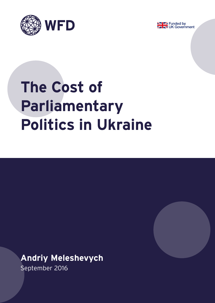



# **The Cost of Parliamentary Politics in Ukraine**

## **Andriy Meleshevych**

September 2016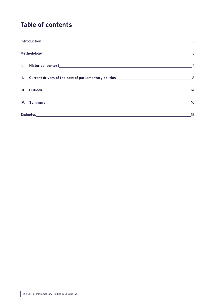## **Table of contents**

|  |                                                                                                                                                                                                                                | $\overline{3}$           |
|--|--------------------------------------------------------------------------------------------------------------------------------------------------------------------------------------------------------------------------------|--------------------------|
|  |                                                                                                                                                                                                                                | $\overline{\phantom{a}}$ |
|  |                                                                                                                                                                                                                                |                          |
|  |                                                                                                                                                                                                                                |                          |
|  |                                                                                                                                                                                                                                | 14                       |
|  | IV. Summary and the contract of the contract of the contract of the contract of the contract of the contract of the contract of the contract of the contract of the contract of the contract of the contract of the contract o | 16                       |
|  |                                                                                                                                                                                                                                | 18                       |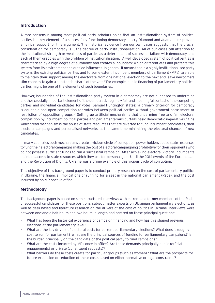#### <span id="page-2-0"></span>**Introduction**

A rare consensus among most political party scholars holds that an institutionalised system of political parties is a key element of a successfully functioning democracy. Larry Diamond and Juan J. Linz provide empirical support for this argument: 'the historical evidence from our own cases suggests that the crucial consideration for democracy is … the degree of party institutionalisation. All of our cases call attention to the institutional strength or weakness of parties as a determinant of success or failure with democracy, and each of them grapples with the problem of institutionalisation.'1 A well-developed system of political parties is characterised by a high degree of autonomy and creates a 'boundary' which differentiates and protects this system from its environment and outside influences. In general, it means that in a highly institutionalised party system, the existing political parties and to some extent incumbent members of parliament (MPs) 'are able to maintain their support among the electorate from one national election to the next and leave newcomers slim chances to gain a substantial share' of the vote.<sup>2</sup> For example, public financing of parliamentary political parties might be one of the elements of such boundaries.

However, boundaries of the institutionalised party system in a democracy are not supposed to undermine another crucially important element of the democratic regime – fair and meaningful contest of the competing parties and individual candidates for votes. Samuel Huntington states: 'a primary criterion for democracy is equitable and open competition for votes between political parties without government harassment or restriction of opposition groups'.<sup>3</sup> Setting up artificial mechanisms that undermine free and fair electoral competition by incumbent political parties and parliamentarians curtails basic democratic imperatives.4 One widespread mechanism is the abuse of state resources that are diverted to fund incumbent candidates, their electoral campaigns and personalised networks, at the same time minimising the electoral chances of new candidates.

In many countries such mechanisms create a vicious circle of corruption: power holders abuse state resources to fund their electoral campaigns making the cost of electoral campaigning prohibitive for their opponents who do not possess sufficient funds to run a successful campaign. After achieving electoral victory, incumbents maintain access to state resources which they use for personal gain. Until the 2014 events of the Euromaidan and the Revolution of Dignity, Ukraine was a prime example of this vicious cycle of corruption.

This objective of this background paper is to conduct primary research on the cost of parliamentary politics in Ukraine, the financial implications of running for a seat in the national parliament (Rada), and the cost incurred by an MP once in office.

#### **Methodology**

The background paper is based on semi-structured interviews with current and former members of the Rada, unsuccessful candidates for these positions, subject matter experts on Ukrainian parliamentary elections, as well as desk-based and literature research on the drivers of the cost of politics in Ukraine. Interviews were between one-and-a half hours and two hours in length and centred on these principal questions:

- What has been the historical experience of campaign financing and how has this shaped previous elections at the parliamentary level?
- What are the key drivers of electoral costs for current parliamentary elections? What does it roughly cost to run for parliament? What are the principal sources of funding for parliamentary campaigns? Is the burden principally on the candidate or the political party to fund campaigns?
- What are the costs incurred by MPs once in office? Are these demands principally public (official engagements) or private (constituent requests)?
- What barriers do these costs create for particular groups (such as women)? What are the prospects for future expansion or reduction of these costs based on either normative or legal constraints?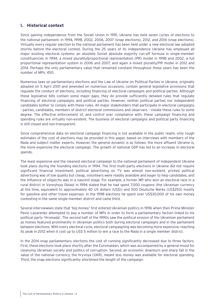### <span id="page-3-0"></span>**I. Historical context**

Since gaining independence from the Soviet Union in 1991, Ukraine has held seven cycles of elections to the national parliament: in 1994, 1998, 2002, 2006, 2007 (snap elections), 2012, and 2014 (snap elections). Virtually every regular election to the national parliament has been held under a new electoral law adopted shortly before the electoral contest. During the 25 years of its independence Ukraine has employed all major existing electoral systems: an obsolete Soviet absolute majority run-off formula in single-member constituencies in 1994, a mixed plurality/proportional representation (PR) model in 1998 and 2002, a full proportional representation system in 2006 and 2007, and again a mixed plurality/PR model in 2012 and 2014. Perhaps the only parliamentary value that remained constant throughout these years has been the number of MPs: 450.

Numerous laws on parliamentary elections and the Law of Ukraine on Political Parties in Ukraine, originally adopted on 5 April 2001 and amended on numerous occasions, contain general legislative provisions that regulate the conduct of elections, including financing of electoral campaigns and political parties. Although these legislative bills contain some major gaps, they do provide sufficiently detailed rules that regulate financing of electoral campaigns and political parties. However, neither political parties nor independent candidates bother to comply with these rules. All major stakeholders that participate in electoral campaigns - parties, candidates, members of district electoral commissions and observers - violate these rules to some degree. The effective enforcement of, and control over compliance with, these campaign financing and spending rules are virtually non-existent. The business of electoral campaigns and political party financing is still closed and non-transparent.

Since comprehensive data on electoral campaign financing is not available in the public realm, only rough estimates of the cost of elections may be provided in this paper, based on interviews with members of the Rada and subject matter experts. However, the general dynamic is as follows: the more affluent Ukraine is, the more expensive the electoral campaign. The growth of national GDP has led to an increase in electoral spends.

The least expensive and the cleanest electoral campaign to the national parliament of independent Ukraine took place during the founding elections in 1994. The first multi-party elections in Ukraine did not require significant financial investment, political advertising on TV was almost non-existent, printed political advertising was of low quality but cheap, volunteers were readily available and eager to help candidates, and the influence of oligarchs was in a nascent stage. For example, a former MP who won an electoral race in a rural district in Vynnytsya Oblast in 1994 stated that he had spent 7,000 coupons (the Ukrainian currency at the time, equivalent to approximately 40 US dollars (US\$)) and 500 Deutsche Marks (US\$250) mostly for gasoline and other travel expenses. In the 1998 elections he spent over US\$30,000 of his own money contesting in the same single-member district and came third.

Several interviewees state that 'big money' first entered Ukrainian politics in 1996 when then Prime Minister Pavlo Lazarenko attempted to pay a number of MPs in order to form a parliamentary faction linked to his political party 'Hromada'. The second half of the 1990s saw the political erosion of the Ukrainian parliament as money featured prominently in Ukrainian politics both during electoral campaigns and in the parliament between elections. With every electoral cycle, electoral campaigning was becoming more expensive, reaching its peak in 2012 when it cost up to US\$ 5 million to win a race to the Rada in a single member district.

In the 2014 snap parliamentary elections the cost of running significantly decreased due to three factors. First, these elections took place shortly after the Euromaidan, which was accompanied by a general mood for cleansing Ukrainian society and politics of corruption. Second, an economic downturn and sharp fall in the value of the national currency, the hryvnya (UKR), meant less money was available for electoral spending. Third, the snap elections significantly shortened the length of the campaign.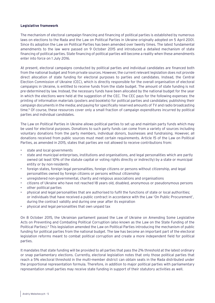#### **Legislative framework**

The mechanism of electoral campaign financing and financing of political parties is established by numerous laws on elections to the Rada and the Law on Political Parties in Ukraine originally adopted on 5 April 2001. Since its adoption the Law on Political Parties has been amended over twenty times. The latest fundamental amendments to the law were passed on 9 October 2015 and introduced a detailed mechanism of state financing of political parties. State financing of political parties will become a reality when these amendments enter into force on 1 July 2016.

At present, electoral campaigns conducted by political parties and individual candidates are financed both from the national budget and from private sources. However, the current relevant legislation does not provide direct allocation of state funding for electoral purposes to parties and candidates. Instead, the Central Election Commission of Ukraine (CEC), which is directly responsible for the overall organisation of electoral campaigns in Ukraine, is entitled to receive funds from the state budget. The amount of state funding is not pre-determined by law. Instead, the necessary funds have been allocated by the national budget for the year in which the elections were held at the suggestion of the CEC. The CEC pays for the following expenses: the printing of information materials (posters and booklets) for political parties and candidates; publishing their campaign documents in the media; and paying for specifically reserved amounts of TV and radio broadcasting time.5 Of course, these resources cover only a small fraction of campaign expenditures incurred by political parties and individual candidates.

The Law on Political Parties in Ukraine allows political parties to set up and maintain party funds which may be used for electoral purposes. Donations to such party funds can come from a variety of sources including voluntary donations from the party members, individual donors, businesses and fundraising. However, all donations received from public sources must meet certain requirements. Article 15 of the Law on Political Parties, as amended in 2015, states that parties are not allowed to receive contributions from:

- state and local governments
- state and municipal enterprises, institutions and organisations, and legal personalities which are partly owned (at least 10% of the statute capital or voting rights directly or indirectly) by a state or municipal entity or by non-residents
- foreign states, foreign legal personalities, foreign citizens or persons without citizenship, and legal personalities owned by foreign citizens or persons without citizenship
- unregistered non-governmental, charity and religious associations and organisations
- citizens of Ukraine who have not reached 18 years old, disabled, anonymous or pseudonymous persons
- other political parties
- physical and legal personalities that are authorised to fulfil the functions of state or local authorities; or individuals that have received a public contract in accordance with the Law 'On Public Procurement', during the contract validity and during one year after its expiration
- physical and legal personalities that own unpaid tax

On 8 October 2015, the Ukrainian parliament passed the Law of Ukraine on Amending Some Legislative Acts on Preventing and Combating Political Corruption (also known as the Law on the State Funding of the Political Parties).6 This legislation amended the Law on Political Parties introducing the mechanism of public funding for political parties from the national budget. The law has become an important part of the electoral legislation reforms meant to combat political corruption and create a more independent field for political parties.

It mandates that state funding will be provided to all parties that pass the 2% threshold at the latest ordinary or snap parliamentary elections. Currently, electoral legislation notes that only those political parties that reach a 5% electoral threshold in the multi-member district can obtain seats in the Rada distributed under the proportional representation formula. Therefore, in addition to major political parties with parliamentary representation small parties may receive state funding in support of their statutory activities as well.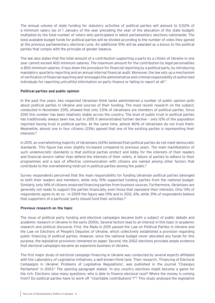The annual volume of state funding for statutory activities of political parties will amount to 0.02% of a minimum salary (as of 1 January of the year preceding the year of the allocation of the state budget) multiplied by the total number of voters who participated in latest parliamentary elections nationwide. The total available budget funds for political parties will be divided according to the number of votes they gained at the previous parliamentary electoral cycle. An additional 10% will be awarded as a bonus to the political parties that comply with the principle of gender balance.

The law also states that the total amount of a contribution supporting a party by a citizen of Ukraine in one year cannot exceed 400 minimum salaries. The maximum amount for the contribution by legal personalities is 800 minimum salaries. It lays down the procedure for financial reporting by a political party, by introducing mandatory quarterly reporting and an annual internal financial audit. Moreover, the law sets up a mechanism of verification of financial reporting and 'envisages the administrative and criminal responsibility of authorised individuals for reporting untruthful information on party finance or failing to report at all'.7

#### **Political parties and public opinion**

In the past five years, two respected Ukrainian think tanks administered a number of public opinion polls about political parties in Ukraine and sources of their funding. The most recent research on the subject, conducted in November 2015, showed that only 3.5% of Ukrainians are members of political parties. Since 2010 this number has been relatively stable across the country. The level of public trust in political parties has traditionally always been low, but in 2015 it demonstrated further decline – only 12% of the population reported having trust in political parties. At the same time, almost 80% of Ukrainians do not trust them. Meanwhile, almost one in four citizens (23%) agreed that one of the existing parties is representing their interests.8

In 2015, an overwhelming majority of Ukrainians (63%) believed that political parties do not meet democratic standards. This figure has even slightly increased compared to previous years. The main manifestation of such undemocratic standards is that political parties protect and lobby for the interests of their leaders and financial donors rather than defend the interests of their voters. A failure of parties to adhere to their programmes and a lack of effective communication with citizens are named among other factors that contribute to the overwhelming mistrust in political parties among the public.<sup>9</sup>

Survey respondents perceived that the main responsibility for funding Ukrainian political parties belonged to both their leaders and members, while only 15% supported funding parties from the national budget. Similarly, only 14% of citizens endorsed financing parties from business sources. Furthermore, Ukrainians are generally not ready to support the parties financially, even those that represent their interests. Only 13% of respondents agree to do so - in 2009 the figure was 10% and in 2012, 6%, while 31% of respondents believe that supporters of a particular party should fund their activities.10

#### **Previous research on the topic**

The issue of political party funding and electoral campaigns became both a subject of public debate and academic research in Ukraine in the early 2000s. Several factors lead to an interest in this topic in academic research and political discourse. First, the Rada in 2001 passed the Law on Political Parties in Ukraine and the Law on Elections of People's Deputies of Ukraine, which collectively established a provision regarding public financing of political parties. However, since the national budget never allocated any funds for this purpose, the legislative provisions remained on paper. Second, the 2002 elections provided ample evidence that electoral campaigns became an expensive business in Ukraine.

The first major study of electoral campaign financing in Ukraine was conducted by several experts affiliated with the Laboratory of Legislative Initiatives, a well-known think tank. Their research, 'Financing of Electoral Campaigns in Ukraine: Problems of Legislative Regulations', was published in the journal 'Chasopys Parliament' in 2003.<sup>11</sup> The opening paragraph stated: 'In any country elections might become a game for the rich. Elections raise many questions: who is able to finance electoral race? Where the money is coming from? Do political parties have to work off "charitable contributions"?'12 This study analysed the legislative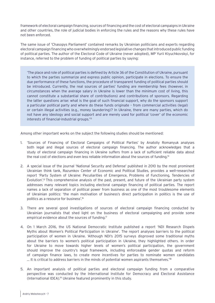framework of electoral campaign financing, sources of financing and the cost of electoral campaigns in Ukraine and other countries, the role of judicial bodies in enforcing the rules and the reasons why these rules have not been enforced.

The same issue of 'Chasopys Parliament' contained remarks by Ukrainian politicians and experts regarding electoral campaign financing who overwhelmingly endorsed legislative changes that introduced public funding of political parties. The author of the Electoral Code of Ukraine (never adopted), MP Yurii Klyuchkovskyi, for instance, referred to the problem of funding of political parties by saying:

'The place and role of political parties is defined by Article 36 of the Constitution of Ukraine, pursuant to which the parties summarize and express public opinion, participate in elections. To ensure the due performance of these functions, the procedure of transparent funding of political parties should be introduced. Currently, the real sources of parties' funding are membership fees (however, in circumstances when the average salary in Ukraine is lower than the minimum cost of living, this cannot constitute a substantial share of contributions) and contributions of sponsors. Regarding the latter questions arise: what is the goal of such financial support, why do the sponsors support a particular political party and where do these funds originate – from commercial activities (legal) or certain illegal activities (e.g., money laundering)? In Ukraine, there are many parties, which do not have any ideology and social support and are merely used for political 'cover' of the economic interests of financial-industrial groups.'13

Among other important works on the subject the following studies should be mentioned:

- 1. 'Sources of Financing of Electoral Campaigns of Political Parties' by Anatoliy Romanyuk analyses both legal and illegal sources of electoral campaign financing. The author acknowledges that a study of electoral campaign financing in Ukraine suffers from a lack of sufficient reliable data about the real cost of elections and even less reliable information about the sources of funding.<sup>14</sup>
- 2. A special issue of the journal 'National Security and Defense' published in 2010 by the most prominent Ukrainian think tank, Razumkov Center of Economic and Political Studies, provides a well-researched report 'Party System of Ukraine: Peculiarities of Emergence, Problems of Functioning, Tendencies of Evolution'.<sup>15</sup> This comprehensive analysis of the past, present, and future of the Ukrainian party system addresses many relevant topics including electoral campaign financing of political parties. The report names a lack of separation of political power from business as one of the most troublesome elements of Ukrainian politics: 'the main motivation of business's direct participation in politics is the use of politics as a resource for business'.16
- 3. There are several good investigations of sources of electoral campaign financing conducted by Ukrainian journalists that shed light on the business of electoral campaigning and provide some empirical evidence about the sources of funding.<sup>17</sup>
- 4. On 1 March 2016, the US National Democratic Institute published a report 'NDI Research Dispels Myths about Women's Political Participation in Ukraine'. The report analyses barriers to the political participation of women in Ukraine. 'Although NDI's 2015 surveys disproved some traditional myths about the barriers to women's political participation in Ukraine, they highlighted others. In order for Ukraine to move towards higher levels of women's political participation, the government should improve the country's legal framework, including enforceable gender quotas and reform of campaign finance laws, to create more incentives for parties to nominate women candidates ... It is critical to address barriers in the minds of potential women aspirants themselves.<sup>18</sup>
- 5. An important analysis of political parties and electoral campaign funding from a comparative perspective was conducted by the International Institute for Democracy and Electoral Assistance (International IDEA).19 Ukraine featured prominently in this study.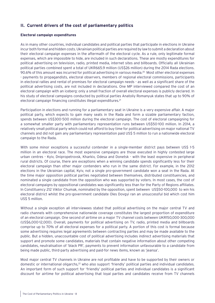### <span id="page-7-0"></span>**II. Current drivers of the cost of parliamentary politics**

#### **Electoral campaign expenditures**

As in many other countries, individual candidates and political parties that participate in elections in Ukraine incur both formal and hidden costs. Ukrainian political parties are required by law to submit a declaration about their electoral campaign expenses in the aftermath of the electoral cycle. As a rule, only legitimate formal expenses, which are impossible to hide, are included in such declarations. These are mostly expenditures for political advertising on television, radio, printed media, internet sites and billboards. Officially all Ukrainian political parties combined spent a total of UKR665.9 million (US\$26 million) during the 2014 Rada elections. 90.6% of this amount was incurred for political advertising in various media.20 Most other electoral expenses - payments to propagandists, electoral observers, members of regional electoral commissions, participants in electoral rallies and rental of premises for electoral campaign needs - as well as a significant share of the political advertising costs, are not included in declarations. One MP interviewed compared the cost of an electoral campaign with an iceberg: only a small fraction of overall electoral expenses is publicly declared. In his study of electoral campaigns conducted by political parties Anatoliy Romanyuk states that up to 90% of electoral campaign financing constitutes illegal expenditures.<sup>21</sup>

Participation in elections and running for a parliamentary seat in Ukraine is a very expensive affair. A major political party, which expects to gain many seats in the Rada and form a sizable parliamentary faction, spends between US\$300-500 million during the electoral campaign. The cost of electoral campaigning for a somewhat smaller party with parliamentary representation runs between US\$50-100 million. In 2014, a relatively small political party which could not afford to buy time for political advertising on major national TV channels and did not gain any parliamentary representation paid US\$ 5 million to run a nationwide electoral campaign to the Rada.

With some minor exceptions a successful contender in a single-member district pays between US\$ 1-5 million in an electoral race. The most expensive campaigns are those executed in highly contested large urban centres - Kyiv, Dnipropetrovsk, Kharkiv, Odesa and Donetsk - with the least expensive in peripheral rural districts. Of course, there are exceptions when a winning candidate spends significantly less for their electoral campaign than other major contenders who run in the same district. For example, in the 2012 elections in the Ukrainian capital, Kyiv, not a single pro-government candidate won a seat in the Rada. At the time major opposition political parties negotiated between themselves, distributed constituencies, and nominated a single candidate from the opposition who was supported by voters. In most cases, the cost of electoral campaigns by oppositional candidates was significantly less than for the Party of Regions affiliates. In Constituency 212 Viktor Chumak, nominated by the opposition, spent between US\$50-100,000 to win his electoral district whilst the pro-government candidate Oles Dovgyi ran an unsuccessful bid which cost him US\$ 5 million.

Without a single exception all interviewees stated that political advertising on the major central TV and radio channels with comprehensive nationwide coverage constitutes the largest proportion of expenditure of an electoral campaign. One second of airtime on a major TV channel costs between UKR150,000-300,000 (US\$6,000-12,000). Overall, payments for political advertising on TV, radio, printed media and billboards comprise up to 70% of all electoral expenses for a political party. A portion of this cost is formal because some advertising requires legal agreements between contracting parties and may be made available to the public. But a hidden, unaccountable cost of political advertising includes indirect advertising materials that support and promote some candidates, materials that contain negative information about other competing candidates, neutralisation of 'black PR', payments to prevent information unfavourable to a candidate from being made public, third-party advertising and paid-for news items, known as 'jeansa'.

Most major central TV channels in Ukraine are not profitable and have to be supported by their owners or domestic or international oligarchs,<sup>22</sup> who also support 'friendly' political parties and individual candidates. An important form of such support for 'friendly' political parties and individual candidates is a significant discount for airtime for political advertising that loyal parties and candidates receive from TV channels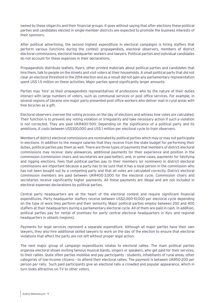owned by these oligarchs and their financial groups. It goes without saying that after elections these political parties and candidates elected in single-member districts are expected to promote the business interests of their sponsors.

After political advertising, the second highest expenditure in electoral campaigns is hiring staffers that perform various functions during the contest: propagandists, electoral observers, members of district electoral commissions, electoral headquarter workers and lawyers. Political parties and individual candidates do not account for these expenses in their declarations.

Propagandists distribute leaflets, flyers, other printed materials about political parties and candidates that hire them, talk to people on the streets and visit voters at their households. A small political party that did not clear an electoral threshold in the 2014 election and as a result did not gain any parliamentary representation spent US\$ 1.5 million on these activities. Major parties spend significantly larger amounts.

Parties may 'hire' as their propagandists representatives of professions who by the nature of their duties interact with large numbers of voters, such as communal services or post office services. For example, in several regions of Ukraine one major party presented post office workers who deliver mail in rural areas with free bicycles as a gift.

Electoral observers oversee the voting process on the day of elections and witness how votes are calculated. Their function is to prevent any voting violation or irregularity and take necessary action if such a violation is not corrected. They are paid UKR400-500. Depending on the significance of a political party and its ambitions, it costs between US\$300,000 and US\$ 1 million per electoral cycle to train observers.

Members of district electoral commissions are nominated by political parties which may or may not participate in elections. In addition to the meagre salaries that they receive from the state budget for performing their duties, political parties pay them as well. There are three types of payments that members of district electoral commissions may receive: daily allowances, additional payments for their experience and position in the commission (commission chairs and secretaries are paid better), and, in some cases, payments for falsifying and rigging elections. Fees that political parties pay to their members (or nominees) in district electoral commissions are important because a party has to be sure that it has a loyal person in the commission who has not been bought out by a competing party and that all votes are calculated correctly. District electoral commission members are paid between UKR400-3,000 for the electoral cycle. Commission chairs and secretaries receive significantly higher payments. All these payments are illegal and are not included in electoral expenses declarations by political parties.

Central party headquarters are at the heart of the electoral contest and require significant financial expenditures. Party headquarter staffers receive between US\$2,000-10,000 per electoral cycle depending on the type of work they perform and their seniority. Major political parties employ between 200 and 400 staffers at their headquarters during a parliamentary electoral cycle. All of them are paid in cash. In addition, political parties pay for rental of premises for party central electoral headquarters in Kyiv and regional headquarters in oblasts (regions).

Payments for legal services represent a separate expenditure. Although all major parties have their own lawyers, they also hire additional skilled lawyers to work on the day of the election to ensure that electoral violations that affect the party are not left without proper legal action.

The next major group of campaign expenditures relates to electoral rallies. The main political parties organise electoral shows inviting famous musical bands, singers or speakers, who get paid for their services, to their rallies. Quite often parties mobilise and pay participants - students, inhabitants of rural areas, other categories of low-income citizens – to attend their electoral rallies. The payment is between UKR50-200 per person per rally. Such paid participants give an electoral rally a crowded and popular appearance, which in turn looks attractive on TV to other voters.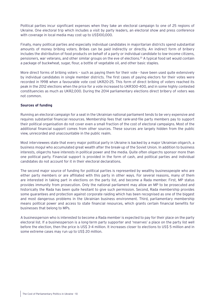Political parties incur significant expenses when they take an electoral campaign to one of 25 regions of Ukraine. One electoral trip which includes a visit by party leaders, an electoral show and press conference with coverage in local media may cost up to US\$100,000.

Finally, many political parties and especially individual candidates in majoritarian districts spend substantial amounts of money bribing voters. Bribes can be paid indirectly or directly. An indirect form of bribery includes the distribution of food products on behalf of a party or individual candidate to low-income citizens, pensioners, war veterans, and other similar groups on the eve of elections.23 A typical food set would contain a package of buckwheat, sugar, flour, a bottle of vegetable oil, and other basic staples.

More direct forms of bribing voters – such as paying them for their vote - have been used quite extensively by individual candidates in single member districts. The first cases of paying electors for their votes were recorded in 1998 when a favourable vote cost UKR20-25. This form of direct bribing of voters reached its peak in the 2012 elections when the price for a vote increased to UKR300-400, and in some highly contested constituencies as much as UKR2,000. During the 2014 parliamentary elections direct bribery of voters was not common.

#### **Sources of funding**

Running an electoral campaign for a seat in the Ukrainian national parliament tends to be very expensive and requires substantial financial resources. Membership fees that rank-and-file party members pay to support their political organisation do not cover even a small fraction of the cost of electoral campaigns. Most of the additional financial support comes from other sources. These sources are largely hidden from the public view, unrecorded and unaccountable in the public realm.

Most interviewees state that every major political party in Ukraine is backed by a major Ukrainian oligarch, a business mogul who accumulated great wealth after the break-up of the Soviet Union. In addition to business interests, oligarchs have interests in political power and the media. Quite often oligarchs sponsor more than one political party. Financial support is provided in the form of cash, and political parties and individual candidates do not account for it in their electoral declarations.

The second major source of funding for political parties is represented by wealthy businesspeople who are either party members or are affiliated with this party in other ways. For several reasons, many of them are interested in taking part in elections on the party list, and become a Rada member. First, MP status provides immunity from prosecution. Only the national parliament may allow an MP to be prosecuted and historically the Rada has been quite hesitant to give such permission. Second, Rada membership provides some guarantees and protection against corporate raiding which has been recognised as one of the biggest and most dangerous problems in the Ukrainian business environment. Third, parliamentary membership means political power and access to state financial resources, which grants certain financial benefits for businesses that belong to MPs.

A businessperson who is interested to become a Rada member is expected to pay for their place on the party electoral list. If a businessperson is a long-term party supporter and 'reserves' a place on the party list well before the election, then the price is US\$ 3-4 million. It increases closer to elections to US\$ 5 million and in some extreme cases may run up to US\$ 20 million.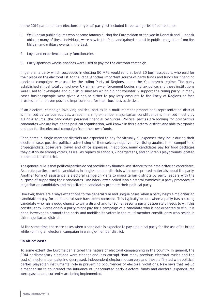In the 2014 parliamentary elections a 'typical' party list included three categories of contestants:

- 1. Well-known public figures who became famous during the Euromaidan or the war in Donetsk and Luhansk oblasts; many of these individuals were new to the Rada and gained a boost in public recognition from the Maidan and military events in the East.
- 2. Loyal and experienced party functionaries.
- 3. Party sponsors whose finances were used to pay for the electoral campaign.

In general, a party which succeeded in electing 50 MPs would send at least 20 businesspeople, who paid for their place on the electoral list, to the Rada. Another important source of party funds and funds for financing electoral campaigns was used by the ruling Party of Regions under the Yanukovych regime. The party established almost total control over Ukrainian law enforcement bodies and tax police, and these institutions were used to investigate and punish businesses which did not voluntarily support the ruling party. In many cases businesspeople were given a choice either to pay lofty amounts to the Party of Regions or face prosecution and even possible imprisonment for their business activities.

If an electoral campaign involving political parties in a multi-member proportional representation district is financed by various sources, a race in a single-member majoritarian constituency is financed mostly by a single source: the candidate's personal financial resources. Political parties are looking for prospective candidates who are loyal to the political organisation, well-known in this electoral district, and able to organise and pay for the electoral campaign from their own funds.

Candidates in single-member districts are expected to pay for virtually all expenses they incur during their electoral race: positive political advertising of themselves, negative advertising against their competitors, propagandists, observers, travel, and office expenses. In addition, many candidates pay for food packages they distribute among voters, as well as repairs to schools, kindergartens, and children's playgrounds located in the electoral district.

The general rule is that political parties do not provide any financial assistance to their majoritarian candidates. As a rule, parties provide candidates in single-member districts with some printed materials about the party. Another form of assistance is electoral campaign visits to majoritarian districts by party leaders with the purpose of supporting their candidates. One interviewee called it an electoral symbiosis: a party promotes its majoritarian candidates and majoritarian candidates promote their political party.

However, there are always exceptions to the general rule and unique cases when a party helps a majoritarian candidate to pay for an electoral race have been recorded. This typically occurs when a party has a strong candidate who has a good chance to win a district and for some reason a party desperately needs to win this constituency. Occasionally a party might pay for a campaign of a candidate who is not expected to win. It is done, however, to promote the party and mobilise its voters in the multi-member constituency who reside in this majoritarian district.

At the same time, there are cases when a candidate is expected to pay a political party for the use of its brand while running an electoral campaign in a single-member district.

#### **'In office' costs**

To some extent the Euromaidan altered the nature of electoral campaigning in the country. In general, the 2014 parliamentary elections were cleaner and less corrupt than many previous electoral cycles and the cost of electoral campaigning decreased. Independent electoral observers and those affiliated with political parties played an instrumental role in preventing occurrences of electoral violations. New laws that set up a mechanism to counteract the influence of unaccounted party electoral funds and electoral expenditures were passed and currently are being implemented.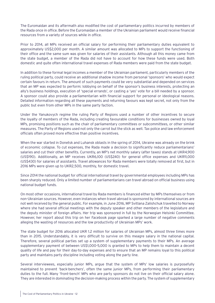The Euromaidan and its aftermath also modified the cost of parliamentary politics incurred by members of the Rada once in office. Before the Euromaidan a member of the Ukrainian parliament would receive financial resources from a variety of sources while in office.

Prior to 2014, all MPs received an official salary for performing their parliamentary duties equivalent to approximately US\$2,000 per month. A similar amount was allocated to MPs to support the functioning of their office and the same sum was given for salaries of their assistants. Although all this money came from the state budget, a member of the Rada did not have to account for how these funds were used. Both domestic and quite often international travel expenses of Rada members were paid from the state budget.

In addition to these formal legal incomes a member of the Ukrainian parliament, particularly members of the ruling political party, could receive an additional shadow income from personal 'sponsors' who would expect certain favours in return. The amount of such payments could be very substantial and depended on services that an MP was expected to perform: lobbying on behalf of the sponsor's business interests, protecting an ally's business holdings, execution of 'special errands', or casting a 'yes' vote for a bill needed by a sponsor. A sponsor could also provide a parliamentarian with financial support for personal or ideological reasons. Detailed information regarding all these payments and returning favours was kept secret, not only from the public but even from other MPs in the same party faction.

Under the Yanukovych regime the ruling Party of Regions used a number of other incentives to secure the loyalty of members of the Rada, including creating favourable conditions for businesses owned by loyal MPs, promising positions such as the chair of parliamentary committees or subcommittees, or other similar measures. The Party of Regions used not only the carrot but the stick as well. Tax police and law enforcement officials often proved more effective than positive incentives.

When the war started in Donetsk and Luhansk oblasts in the spring of 2014, Ukraine was already on the brink of economic collapse. To cut expenses, the Rada made a decision to significantly reduce parliamentarians' salaries and cut their other benefits. Currently, an MP's net monthly salary (after taxes) stands at UKR4,900 (US\$190). Additionally, an MP receives UKR6,100 (US\$240) for general office expenses and UKR11,000 (US\$430) for salaries of assistants. Travel allowances for Rada members were totally removed at first, but in 2016 MPs were given up to UKR2,500, monthly, for domestic travel.

Since 2014 the national budget for official international travel by governmental employees including MPs has been sharply reduced. Only a limited number of parliamentarians can travel abroad on official business using national budget funds.

On most other occasions, international travel by Rada members is financed either by MPs themselves or from non-Ukrainian sources. However, even instances when travel abroad is sponsored by international sources are not well received by the general public. For example, in June 2016, MP Svitlana Zalishchuk travelled to Norway where she had several official meetings with the deputy speaker and other members of the legislature and the deputy minister of foreign affairs. Her trip was sponsored in full by the Norwegian Helsinki Committee. However, her report about this trip on her Facebook page sparked a large number of negative comments alleging the wasting of resources and the low productivity of Ukrainian MPs' work.

The state budget for 2016 allocated UKR 1.2 million for salaries of Ukrainian MPs, almost three times more than in 2015. Understandably, it is very difficult to survive on this meagre salary in the national capital. Therefore, several political parties set up a system of supplementary payments to their MPs. An average supplementary payment of between US\$1,000-5,000 is granted to MPs to help them to maintain a decent quality of life and pay for their day-to-day expenses and to ensure that an MP remains loyal to this political party and maintains party discipline including voting along the party line.

Several interviewees, especially junior MPs, argue that the system of MPs' low salaries is purposefully maintained to prevent 'back-benchers', often the same junior MPs, from performing their parliamentary duties to the full. Many 'front-bench' MPs who are party sponsors do not live on their official salary alone. They are interested in dominating the decision-making process within the party. The system of supplementary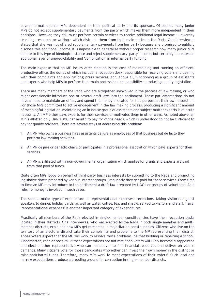payments makes junior MPs dependent on their political party and its sponsors. Of course, many junior MPs do not accept supplementary payments from the party which makes them more independent in their decisions. However, they still must perform certain services to receive additional legal income - university teaching, research, or writing - which distracts them from their main duties in the Rada. One interviewee stated that she was not offered supplementary payments from her party because she promised to publicly disclose this additional income. It is impossible to generalise without proper research how many junior MPs adhere to this type of ideological stance and reject supplementary 'party' income, but certainly it creates an additional layer of unpredictability and 'complication' in internal party funding.

The main expense that an MP incurs after election is the cost of maintaining and running an efficient, productive office, the duties of which include: a reception desk responsible for receiving voters and dealing with their complaints and applications; press services; and, above all, functioning as a group of assistants and experts who help MPs to perform their main professional responsibility – producing quality legislation.

There are many members of the Rada who are altogether uninvolved in the process of law-making, or who might occasionally introduce one or several draft laws into the parliament. These parliamentarians do not have a need to maintain an office, and spend the money allocated for this purpose at their own discretion. For those MPs committed to active engagement in the law-making process, producing a significant amount of meaningful legislation, maintaining an in-house group of assistants and subject matter experts is of acute necessity. An MP either pays experts for their services or motivates them in other ways. As noted above, an MP is allotted only UKR11,000 per month to pay for office needs, which is understood to not be sufficient to pay for quality advisers. There are several ways of addressing this problem:

- 1. An MP who owns a business hires assistants de jure as employees of that business but de facto they perform law-making activities.
- 2. An MP de jure or de facto chairs or participates in a professional association which pays experts for their services.
- 3. An MP is affiliated with a non-governmental organisation which applies for grants and experts are paid from that pool of funds.

Quite often MPs lobby on behalf of third-party business interests by submitting to the Rada and promoting legislative drafts prepared by various interest groups. Frequently they get paid for these services. From time to time an MP may introduce to the parliament a draft law prepared by NGOs or groups of volunteers. As a rule, no money is involved in such cases.

The second major type of expenditure is 'representational expenses': receptions, taking visitors or guest speakers to dinner, holiday cards, as well as water, coffee, tea, and snacks served to visitors and staff. Travel 'representational expenses' is another important category of expenditures.

Practically all members of the Rada elected in single-member constituencies have their reception desks located in their districts. One interviewee, who was elected to the Rada in both single-member and multimember districts, explained how MPs get re-elected in majoritarian constituencies. Citizens who live on the territory of an electoral district take their complaints and problems to the MP representing their district. Those voters expect that the MP will work to resolve those problems, be that building or repairing a school, kindergarten, road or hospital. If these expectations are not met, then voters will likely become disappointed and elect another representative who can maneouver to find financial resources and deliver on voters' demands. Many citizens vote for those candidates who either can invest their own money in the district or raise pork-barrel funds. Therefore, 'many MPs work to meet expectations of their voters'. Such local and narrow expectations produce a breeding ground for corruption in single-member districts.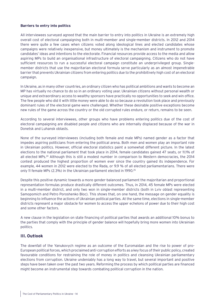#### <span id="page-13-0"></span>**Barriers to entry into politics**

All interviewees surveyed agreed that the main barrier to entry into politics in Ukraine is an extremely high overall cost of electoral campaigning both in multi-member and single-member districts. In 2012 and 2014 there were quite a few cases when citizens voted along ideological lines and elected candidates whose campaigns were relatively inexpensive, but money ultimately is the mechanism and instrument to promote candidates' ideas and intentions to the electorate. Financial resources provide access to the media and allow aspiring MPs to build an organisational infrastructure of electoral campaigning. Citizens who do not have sufficient resources to run a successful electoral campaign constitute an underprivileged group. Singlemember districts that use the majoritarian electoral formula serve particularly as an almost impenetrable barrier that prevents Ukrainian citizens from entering politics due to the prohibitively high cost of an electoral campaign.

In Ukraine, as in many other countries, an ordinary citizen who has political ambitions and wants to become an MP has virtually no chance to do so in an ordinary voting year. Ukrainian citizens without personal wealth or unique and extraordinary access to wealthy sponsors have practically no opportunities to seek and win office. The few people who did it with little money were able to do so because a revolution took place and previously dominant rules of the electoral game were challenged. Whether these desirable positive exceptions become new rules of the game across the country or the old corrupted rules endure, or return, remains to be seen.

According to several interviewees, other groups who have problems entering politics due of the cost of electoral campaigning are disabled people and citizens who are internally displaced because of the war in Donetsk and Luhansk oblasts.

None of the surveyed interviewees (including both female and male MPs) named gender as a factor that impedes aspiring politicians from entering the political arena. Both men and women play an important role in Ukrainian politics. However, official electoral statistics paint a somewhat different picture. In the latest elections to the national parliament that took place in 2014, female candidates gained 47 seats, or 11.1% of all elected MPs.<sup>24</sup> Although this is still a modest number in comparison to Western democracies, the 2014 contest produced the highest proportion of women ever since the country gained its independence. For example, 44 women in 2012 were elected to the Rada, or 9.9 % of all elected parliamentarians. There were only 11 female MPs (2.3%) in the Ukrainian parliament elected in 1990.25

Despite this positive dynamic towards a more gender-balanced parliament the majoritarian and proportional representation formulas produce drastically different outcomes. Thus, in 2014, 45 female MPs were elected in a multi-member district, and only two won in single-member districts (both in Lviv oblast representing Samopomich and Petro Poroshenko Bloc). This shows that, on one hand, the message on gender equality is beginning to influence the actions of Ukrainian political parties. At the same time, elections in single-member districts represent a major obstacle for women to access the upper echelons of power due to their high cost and some other factors.

A new clause in the legislation on state financing of political parties that awards an additional 10% bonus to the parties that comply with the principle of gender balance will hopefully bring more women into Ukrainian politics.

#### **III. Outlook**

The downfall of the Yanukovych regime as an outcome of the Euromaidan and the rise to power of pro-European political forces, which proclaimed anti-corruption efforts as a key focus of their public policy, created favourable conditions for restraining the role of money in politics and cleansing Ukrainian parliamentary elections from corruption. Ukraine undeniably has a long way to travel, but several important and positive steps have been taken over the past two years. Reforming the process by which political parties are financed might become an instrumental step towards combating political corruption in the nation.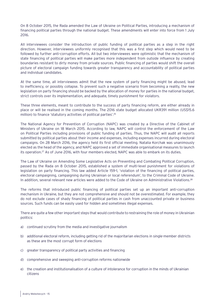On 8 October 2015, the Rada amended the Law of Ukraine on Political Parties, introducing a mechanism of financing political parties through the national budget. These amendments will enter into force from 1 July 2016.

All interviewees consider the introduction of public funding of political parties as a step in the right direction. However, interviewees uniformly recognised that this was a first step which would need to be followed by further anti-corruption efforts. All but two interviewees were optimistic that the mechanism of state financing of political parties will make parties more independent from outside influence by creating boundaries resistant to dirty money from private sources. Public financing of parties would shift the overall picture of electoral campaign funding towards greater transparency and accountability of political parties and individual candidates.

At the same time, all interviewees admit that the new system of party financing might be abused, lead to inefficiency, or possibly collapse. To prevent such a negative scenario from becoming a reality, the new legislation on party financing should be backed by the allocation of money for parties in the national budget, strict controls over its implementation, and adequate, timely punishment for violators.

These three elements, meant to contribute to the success of party financing reform, are either already in place or will be realised in the coming months. The 2016 state budget allocated UKR391 million (US\$15.6 million) to finance 'statutory activities of political parties'.<sup>26</sup>

The National Agency for Prevention of Corruption (NAPC) was created by a Directive of the Cabinet of Ministers of Ukraine on 18 March 2015. According to law, NAPC will control the enforcement of the Law on Political Parties including provisions of public funding of parties. Thus, the NAPC will audit all reports submitted by political parties about their income and expenses, including expenses incurred during electoral campaigns. On 28 March 2016, the agency held its first official meeting. Natalia Korchak was unanimously elected as the head of the agency, and NAPC approved a set of immediate organisational measures to launch its operation.27 As of June 2016, with four members elected, NAPC was able to embark on its duties.

The Law of Ukraine on Amending Some Legislative Acts on Preventing and Combating Political Corruption, passed by the Rada on 8 October 2015, established a system of multi-level punishment for violations of legislation on party financing. This law added Article 159-1, 'violation of the financing of political parties, electoral campaigning, campaigning during Ukrainian or local referendum', to the Criminal Code of Ukraine. In addition, several relevant new articles were added to the Code of Ukraine on Administrative Violations.<sup>28</sup>

The reforms that introduced public financing of political parties set up an important anti-corruption mechanism in Ukraine, but they are not comprehensive and should not be overestimated. For example, they do not exclude cases of shady financing of political parties in cash from unaccounted private or business sources. Such funds can be easily used for hidden and sometimes illegal expenses.

There are quite a few other important steps that would contribute to restraining the role of money in Ukrainian politics:

- a) continued scrutiny from the media and investigative journalism
- b) additional electoral reform, including getting rid of the majoritarian elections in single-member districts as these are the most corrupt form of elections
- c) greater transparency of political party activities and financing
- d) comprehensive and sweeping anti-corruption reforms nationwide
- e) the creation and institutionalisation of a culture of intolerance for corruption in the minds of Ukrainian citizens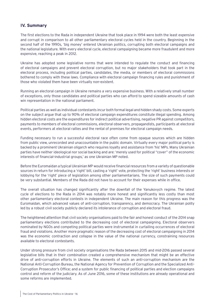#### <span id="page-15-0"></span>**IV. Summary**

The first elections to the Rada in independent Ukraine that took place in 1994 were both the least expensive and corrupt in comparison to all other parliamentary electoral cycles held in the country. Beginning in the second half of the 1990s, 'big money' entered Ukrainian politics, corrupting both electoral campaigns and the national legislature. With every electoral cycle, electoral campaigning became more fraudulent and more expensive, reaching a peak in 2012.

Ukraine has adopted some legislative norms that were intended to regulate the conduct and financing of electoral campaigns and prevent electoral corruption, but no major stakeholders that took part in the electoral process, including political parties, candidates, the media, or members of electoral commissions bothered to comply with these laws. Compliance with electoral campaign financing rules and punishment of those who violated them have been virtually non-existent.

Running an electoral campaign in Ukraine remains a very expensive business. With a relatively small number of exceptions, only those candidates and political parties who can afford to spend sizeable amounts of cash win representation in the national parliament.

Political parties as well as individual contestants incur both formal legal and hidden shady costs. Some experts on the subject argue that up to 90% of electoral campaign expenditures constitute illegal spending. Among hidden electoral costs are the expenditures for indirect political advertising, negative PR against competitors, payments to members of electoral commissions, electoral observers, propagandists, participants at electoral events, performers at electoral rallies and the rental of premises for electoral campaign needs.

Funding necessary to run a successful electoral race often come from opaque sources which are hidden from public view, unrecorded and unaccountable in the public domain. Virtually every major political party is backed by a prominent Ukrainian oligarch who requires loyalty and assistance from 'his' MPs. Many Ukrainian parties have neither ideological nor social backing and are: 'merely used for political "cover" of the economic interests of financial-industrial groups,' as one Ukrainian MP noted.

Before the Euromaidan a typical Ukrainian MP would receive financial resources from a variety of questionable sources in return for introducing a 'right' bill, casting a 'right' vote, protecting the 'right' business interests or lobbying for the 'right' piece of legislation among other parliamentarians. The size of such payments could be very substantial. Members of the Rada did not have to account for their expenses while in office.

The overall situation has changed significantly after the downfall of the Yanukovych regime. The latest cycle of elections to the Rada in 2014 was notably more honest and significantly less costly than most other parliamentary electoral contests in independent Ukraine. The main reason for this progress was the Euromaidan, which advanced values of anti-corruption, transparency, and democracy. The Ukrainian polity led by a robust civil society publicly declared its intolerance of corruption and electoral fraud.

The heightened attention that civil society organisations paid to the fair and honest conduct of the 2014 snap parliamentary elections contributed to the decreasing cost of electoral campaigning. Electoral observers nominated by NGOs and competing political parties were instrumental in curtailing occurrences of electoral fraud and violations. Another more pragmatic reason of the decreasing cost of electoral campaigning in 2014 was the economic contraction and collapse in the value of the national currency, constraining resources available to electoral contestants.

Under strong pressure from civil society organisations the Rada between 2015 and mid-2016 passed several legislative bills that in their combination created a comprehensive mechanism that might be an effective drive of anti-corruption efforts in Ukraine. The elements of such an anti-corruption mechanism are the National Anti-Corruption Bureau, the National Agency for Prevention of Corruption and the Specialized Anti-Corruption Prosecutor's Office; and a system for public financing of political parties and election campaigns control and reform of the judiciary. As of June 2016, some of these institutions are already operational and some reforms are implemented.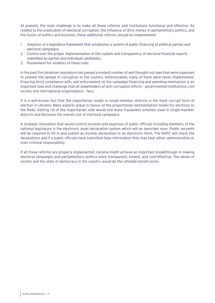At present, the main challenge is to make all these reforms and institutions functional and effective. As related to the eradication of electoral corruption, the influence of dirty money in parliamentary politics, and the fusion of politics and business, these additional reforms should be implemented:

- 1. Adoption of a legislative framework that establishes a system of public financing of political parties and electoral campaigns.
- 2. Control over the proper implementation of this system and transparency of electoral financial reports submitted by parties and individual candidates.
- 3. Punishment for violators of these rules.

In the past the Ukrainian legislature has passed a modest number of well thought-out laws that were supposed to prevent the spread of corruption in the country. Unfortunately, many of them were never implemented. Ensuring strict compliance with, and enforcement of, the campaign financing and spending mechanism is an important task and challenge that all stakeholders of anti-corruption efforts - governmental institutions, civil society and international organisations - face.

It is a well-known fact that the majoritarian model in single-member districts is the most corrupt form of election in Ukraine. Many experts argue in favour of the proportional representation model for elections to the Rada. Getting rid of the majoritarian vote would end many fraudulent schemes used in single-member districts and decrease the overall cost of electoral campaigns.

A strategic innovation that would control incomes and expenses of public officials including members of the national legislature is the electronic asset declaration system which will be launched soon. Public servants will be required to fill in and submit an income declaration in an electronic form. The NAPC will check the declarations and if a public officials have submitted false information they may bear either administrative or even criminal responsibility.

If all these reforms are properly implemented, Ukraine might achieve an important breakthrough in making electoral campaigns and parliamentary politics more transparent, honest, and cost-effective. The whole of society and the state of democracy in the country would be the ultimate beneficiaries.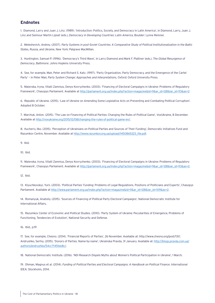#### <span id="page-17-0"></span>**Endnotes**

1. Diamond, Larry and Juan J. Linz. (1989). 'Introduction: Politics, Society, and Democracy in Latin America', in Diamond, Larry, Juan J. Linz and Seimour Martin Lipset (eds.), *Democracy in Developing Countries: Latin America*, Boulder: Lynne Reinner.

2. Meleshevich, Andrey. (2007). *Party Systems in post-Soviet Countries: A Comparative Study of Political Institutionalization in the Baltic States, Russia, and Ukraine*, New York: Palgrave MacMillan.

3. Huntington, Samuel P. (1996). 'Democracy's Third Wave', in Larry Diamond and Mark F. Plattner (eds.), *The Global Resurgence of Democracy*, Baltimore: Johns Hopkins University Press.

4. See, for example, Mair, Peter and Richard S. Katz. (1997). 'Party Organization, Party Democracy, and the Emergence of the Cartel Party' – in Peter Mair, *Party System Change: Approaches and Interpretations*, Oxford: Oxford University Press.

5. Maievska, Iryna, Vitalii Zamnius, Denys Kovryzhenko. (2003). 'Financing of Electoral Campaigns in Ukraine: Problems of Regulatory Framework', Chasopys Parliament. Available at [http://parlament.org.ua/index.php?action=magazine&id=9&ar\\_id=128&iar\\_id=113&as=2](http://parlament.org.ua/index.php?action=magazine&id=9&ar_id=128&iar_id=113&as=2)

6. Republic of Ukraine. (2015). 'Law of Ukraine on Amending Some Legislative Acts on Preventing and Combating Political Corruption'. Adopted 8 October.

7. Marchuk, Anton. (2015). 'The Law on Financing of Political Parties: Changing the Rules of Political Game', VoxUkraine, 8 December. Available at<http://voxukraine.org/2015/12/08/changing-the-rules-of-political-game-en/>.

8. Kucheriv, Ilko. (2015). 'Perception of Ukrainians on Political Parties and Sources of Their Funding', Democratic Initiatives Fund and Razumkov Centre, November. Available at [http://www.razumkov.org.ua/upload/1450865323\\_file.pdf.](http://www.razumkov.org.ua/upload/1450865323_file.pdf)

9. Ibid.

10. Ibid.

11. Maievska, Iryna, Vitalii Zamnius, Denys Kovryzhenko. (2003). 'Financing of Electoral Campaigns in Ukraine: Problems of Regulatory Framework', Chasopys Parliament. Available at [http://parlament.org.ua/index.php?action=magazine&id=9&ar\\_id=128&iar\\_id=113&as=2](http://parlament.org.ua/index.php?action=magazine&id=9&ar_id=128&iar_id=113&as=2).

12. Ibid.

13. Klyuchkovskyi, Yurii. (2003). 'Political Parties' Funding: Problems of Legal Regulations. Positions of Politicians and Experts', Chasopys Parliament. Available at [http://www.parlament.org.ua/index.php?action=magazine&id=9&ar\\_id=128&iar\\_id=109&as=2.](http://www.parlament.org.ua/index.php?action=magazine&id=9&ar_id=128&iar_id=109&as=2)

14. Romanyuk, Anatoliy. (2015). 'Sources of Financing of Political Party Electoral Campaigns', National Democratic Institute for International Affairs,

15. Razumkov Center of Economic and Political Studies. (2010). 'Party System of Ukraine: Peculiarities of Emergence, Problems of Functioning, Tendencies of Evolution', National Security and Defense.

16. Ibid., p.19

17. See, for example, Chesno. (2014). 'Financial Reports of Parties', 26 November. Available at:<http://www.chesno.org/post/131/>; Andrushko, Serhiy. (2015). 'Donors of Parties. Name-by-name', Ukrainska Pravda, 31 January. Available at: [http://blogs.pravda.com.ua/](http://blogs.pravda.com.ua/authors/andrushko/54cc7f451ee8c/) [authors/andrushko/54cc7f451ee8c/](http://blogs.pravda.com.ua/authors/andrushko/54cc7f451ee8c/).

18. National Democratic Institute. (2016). 'NDI Research Dispels Myths about Women's Political Participation in Ukraine', 1 March.

19. Ohman, Magnus et al. (2014). *Funding of Political Parties and Electoral Campaigns: A Handbook on Political Finance*. International IDEA: Stockholm, 2014.